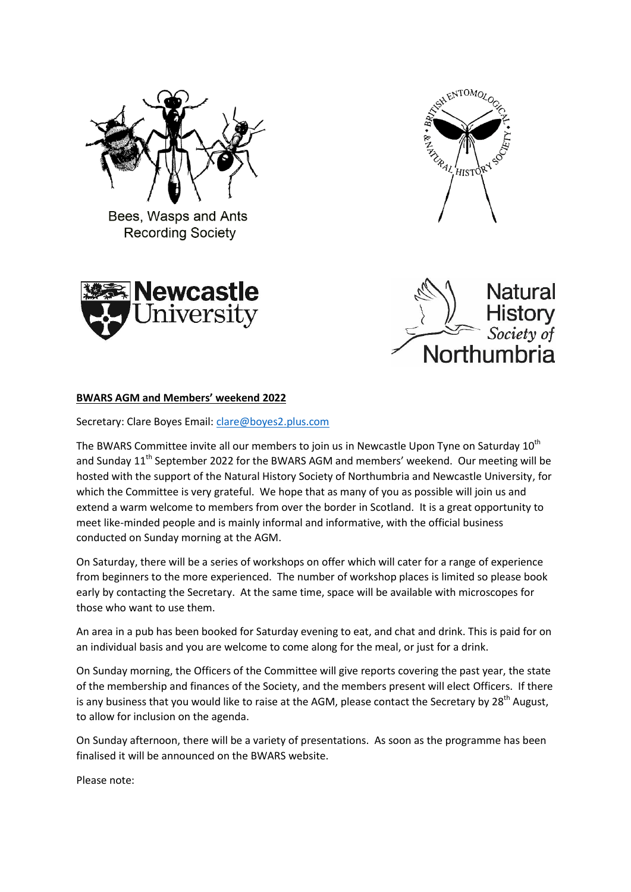

Bees, Wasps and Ants **Recording Society** 







## **BWARS AGM and Members' weekend 2022**

Secretary: Clare Boyes Email: [clare@boyes2.plus.com](mailto:clare@boyes2.plus.com)

The BWARS Committee invite all our members to join us in Newcastle Upon Tyne on Saturday 10<sup>th</sup> and Sunday 11<sup>th</sup> September 2022 for the BWARS AGM and members' weekend. Our meeting will be hosted with the support of the Natural History Society of Northumbria and Newcastle University, for which the Committee is very grateful. We hope that as many of you as possible will join us and extend a warm welcome to members from over the border in Scotland. It is a great opportunity to meet like-minded people and is mainly informal and informative, with the official business conducted on Sunday morning at the AGM.

On Saturday, there will be a series of workshops on offer which will cater for a range of experience from beginners to the more experienced. The number of workshop places is limited so please book early by contacting the Secretary. At the same time, space will be available with microscopes for those who want to use them.

An area in a pub has been booked for Saturday evening to eat, and chat and drink. This is paid for on an individual basis and you are welcome to come along for the meal, or just for a drink.

On Sunday morning, the Officers of the Committee will give reports covering the past year, the state of the membership and finances of the Society, and the members present will elect Officers. If there is any business that you would like to raise at the AGM, please contact the Secretary by  $28<sup>th</sup>$  August, to allow for inclusion on the agenda.

On Sunday afternoon, there will be a variety of presentations. As soon as the programme has been finalised it will be announced on the BWARS website.

Please note: